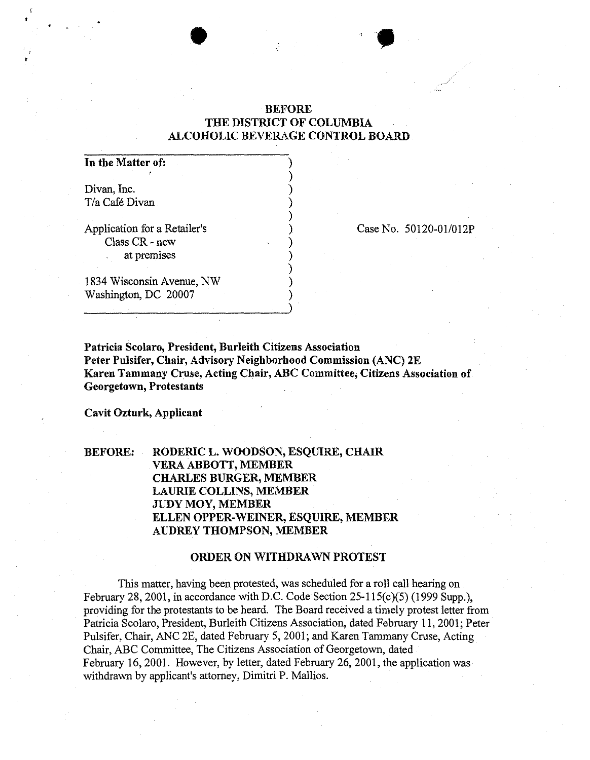## BEFORE THE DISTRICT OF COLUMBIA ALCOHOLIC BEVERAGE CONTROL BOARD

) ) ) ) ) ) ) ) ) ) ) )

•

## In the Matter of:

Divan, Inc. *T/a* Cafe Divan

Application for a Retailer's Class CR - new at premises

Case No. 50120-01/012P

1834 Wisconsin Avenue, NW Washington, DC 20007

Patricia Scolaro, President, Burleith Citizens Association Peter Pulsifer, Chair, Advisory Neighborhood Commission (ANC) 2E Karen Tammany Cruse, Acting Chair, ABC Committee, Citizens Association of Georgetown, Protestants

Cavit Ozturk, Applicant

BEFORE: RODERIC L. WOODSON, ESQUIRE, CHAIR VERA ABBOTT, MEMBER CHARLES BURGER, MEMBER LAURIE COLLINS, MEMBER JUDy MOY, MEMBER ELLEN OPPER-WEINER, ESQUIRE, MEMBER AUDREY THOMPSON, MEMBER

## ORDER ON WITHDRAWN PROTEST

This matter, having been protested, was scheduled for a roll call hearing on February 28, 2001, in accordance with D.C. Code Section 25-1l5(c)(5) (1999 Supp.), providing for the protestants to be heard. The Board received a timely protest letter from Patricia Scolaro, President, Burleith Citizens Association, dated February 11, 2001; Peter Pulsifer, Chair, ANC 2E, dated February 5, 2001; and Karen Tammany Cruse, Acting Chair, ABC Committee, The Citizens Association of Georgetown, dated February 16,2001. However, by letter, dated February 26,2001, the application was withdrawn by applicant's attorney, Dimitri P. Mallios.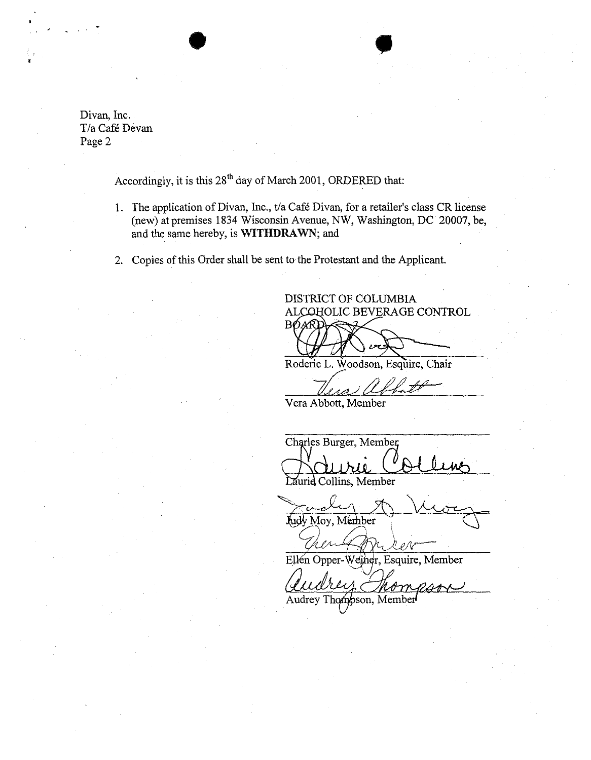Divan, Inc. *T/a* Cafe Devan Page 2

, .

Accordingly, it is this  $28<sup>th</sup>$  day of March 2001, ORDERED that:

•

- 1. The application of Divan, Inc., t/a Café Divan, for a retailer's class CR license (new) at premises 1834 Wisconsin Avenue, NW, Washington, DC 20007, be, and the same hereby, is WITHDRAWN; and
- 2. Copies of this Order shall be sent to the Protestant and the Applicant.

DISTRICT OF COLUMBIA ALCOHOLIC BEVERAGE CONTROL BOARI

Roderic L. Woodson, Esquire, Chair

 $\mathcal{U}_{\ell}$  abbatt -

Vera Abbott, Member

Charles Burger, Member

Laurid Collins, Member

Judy Moy, Member

Ellén Opper-Weiner, Esquire, Member

Then Opper-Weiner, Esquire, Member<br>Ellen Opper-Weiner, Esquire, Member<br>Quality Thompson, Member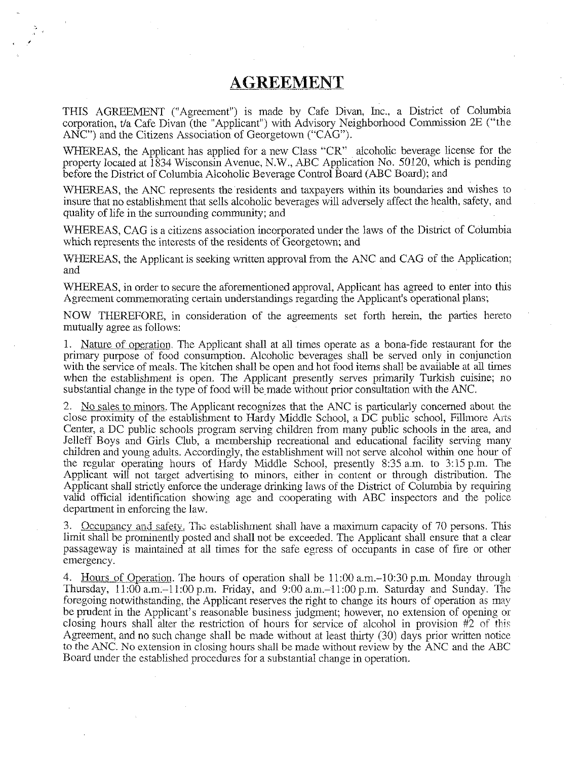## **AGREEMENT**

 $\bar{\mathbf{r}}$ 

THIS AGREEMENT ("Agreement") is made by Cafe Divan, lnc., a District of Columbia corporation, t/a Cafe Divan (the "Applicant") with Advisory Neighborhood Commission 2E ("the ANC") and the Citizens Association of Georgetown ("CAG").

WHEREAS, the Applicant has applied for a new Class "CR" alcoholic beverage license for the property located at 1834 Wisconsin Avenue, N.W., ABC Application No. 50120, which is pending before the District of Columbia Alcoholic Beverage Control Board (ABC Board); and

WHEREAS, the ANC represents the residents and taxpayers within its boundaries and wishes to insure that no establishment that sells alcoholic beverages will adversely affect the health, safety, and quality of life in the surrounding community; and

WHEREAS, CAG is a citizens association incorporated under the laws of the District of Columbia which represents the interests of the residents of Georgetown; and

WHEREAS, the Applicant is seeking written approval from the ANC and CAG of the Application; and

WHEREAS, in order to secure the aforementioned approval, Applicant has agreed to enter into this Agreement commemorating certain understandings regarding the Applicant's operational plans;

NOW THEREFORE, in consideration of the agreements set forth herein, the parties hereto mutually agree as follows:

1. Nature of operation. The Applicant shall at all times operate as a bona-fide restaurant for the primary purpose of food consumption. Alcoholic beverages shall be served only in conjunction with the service of meals. The kitchen shall be open and hot food items shall be available at all times when the establishment is open. The Applicant presently serves primarily Turkish cuisine; no substantial change in the type of food will be made without prior consultation with the ANC.

2. No sales to minors. The Applicant recognizes that the ANC is particularly concerned about the close proximity of the establishment to Hardy Middle School, a DC public school, Fillmore Arts Center, a DC public schools program serving children from many public schools in the area, and lelleff Boys and Girls Club, a membership recreational and educational facility serving many children and yonng adults. Accordiugly, the establishment will not serve alcohol within one hour of the regular operating hours of Hardy Middle School, presently 8:35 a.m. to 3:15 p.m. The Applicant will not target advertising to minors, either in content or through distribution. The Applicant shall strictly enforce the underage drinking laws of the District of Columbia by requiring valid official identification showing age and cooperating with ABC inspectors and the police department in enforcing the law.

3. Occupancy and safety. The establishment shall have a maximum capacity of 70 persons. This limit shall be prominently posted and shall not be exceeded. The Applicant shall ensure that a clear passageway is maintained at aU times for the safe egress of occupants in case of fire or other emergency.

4. Hours of Operation. The hours of operation shall be **11:00** a.m.-l 0:30 p.m. Monday through Thursday, 11:00 a.m.-1l:00 p.m. Friday, and 9:00 a.m.-l 1:00 p.m. Saturday and Suuday. The foregoing notwithstanding, the Applicant reserves the right to change its hours of operation as may be prudent in the Applicant's reasonable business judgment; however, no extension of opening or closing hours shall alter the restriction of hours for service of alcohol in provisiou #2 of this Agreement, and no such change shall be made without at least thirty (30) days prior written notice to the ANC. No extension in closing hours shall be made without review by the ANC and the ABC Board under the established procedures for a substantial change in operation.